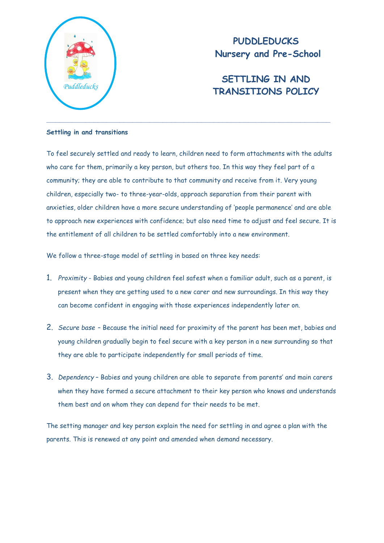

**PUDDLEDUCKS Nursery and Pre-School**

# **SETTLING IN AND TRANSITIONS POLICY** *Puddleducks*

# **Settling in and transitions**

To feel securely settled and ready to learn, children need to form attachments with the adults who care for them, primarily a key person, but others too. In this way they feel part of a community; they are able to contribute to that community and receive from it. Very young children, especially two- to three-year-olds, approach separation from their parent with anxieties, older children have a more secure understanding of 'people permanence' and are able to approach new experiences with confidence; but also need time to adjust and feel secure. It is the entitlement of all children to be settled comfortably into a new environment.

We follow a three-stage model of settling in based on three key needs:

- 1. *Proximity*  Babies and young children feel safest when a familiar adult, such as a parent, is present when they are getting used to a new carer and new surroundings. In this way they can become confident in engaging with those experiences independently later on.
- 2. *Secure base* Because the initial need for proximity of the parent has been met, babies and young children gradually begin to feel secure with a key person in a new surrounding so that they are able to participate independently for small periods of time.
- 3. *Dependency*  Babies and young children are able to separate from parents' and main carers when they have formed a secure attachment to their key person who knows and understands them best and on whom they can depend for their needs to be met.

The setting manager and key person explain the need for settling in and agree a plan with the parents. This is renewed at any point and amended when demand necessary.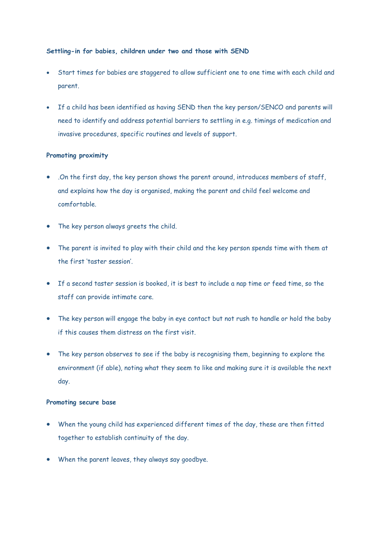# **Settling-in for babies, children under two and those with SEND**

- Start times for babies are staggered to allow sufficient one to one time with each child and parent.
- If a child has been identified as having SEND then the key person/SENCO and parents will need to identify and address potential barriers to settling in e.g. timings of medication and invasive procedures, specific routines and levels of support.

# **Promoting proximity**

- .On the first day, the key person shows the parent around, introduces members of staff, and explains how the day is organised, making the parent and child feel welcome and comfortable.
- The key person always greets the child.
- The parent is invited to play with their child and the key person spends time with them at the first 'taster session'.
- If a second taster session is booked, it is best to include a nap time or feed time, so the staff can provide intimate care.
- The key person will engage the baby in eye contact but not rush to handle or hold the baby if this causes them distress on the first visit.
- The key person observes to see if the baby is recognising them, beginning to explore the environment (if able), noting what they seem to like and making sure it is available the next day.

# **Promoting secure base**

- When the young child has experienced different times of the day, these are then fitted together to establish continuity of the day.
- When the parent leaves, they always say goodbye.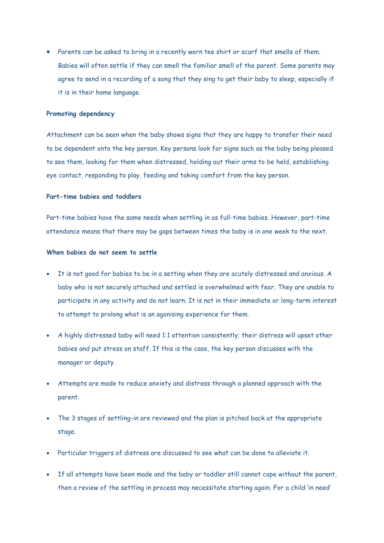• Parents can be asked to bring in a recently worn tee shirt or scarf that smells of them. Babies will often settle if they can smell the familiar smell of the parent. Some parents may agree to send in a recording of a song that they sing to get their baby to sleep, especially if it is in their home language.

#### **Promoting dependency**

Attachment can be seen when the baby shows signs that they are happy to transfer their need to be dependent onto the key person. Key persons look for signs such as the baby being pleased to see them, looking for them when distressed, holding out their arms to be held, establishing eye contact, responding to play, feeding and taking comfort from the key person.

# **Part-time babies and toddlers**

Part-time babies have the same needs when settling in as full-time babies. However, part-time attendance means that there may be gaps between times the baby is in one week to the next.

#### **When babies do not seem to settle**

- It is not good for babies to be in a setting when they are acutely distressed and anxious. A baby who is not securely attached and settled is overwhelmed with fear. They are unable to participate in any activity and do not learn. It is not in their immediate or long-term interest to attempt to prolong what is an agonising experience for them.
- A highly distressed baby will need 1:1 attention consistently; their distress will upset other babies and put stress on staff. If this is the case, the key person discusses with the manager or deputy.
- Attempts are made to reduce anxiety and distress through a planned approach with the parent.
- The 3 stages of settling-in are reviewed and the plan is pitched back at the appropriate stage.
- Particular triggers of distress are discussed to see what can be done to alleviate it.
- If all attempts have been made and the baby or toddler still cannot cope without the parent, then a review of the settling in process may necessitate starting again. For a child 'in need'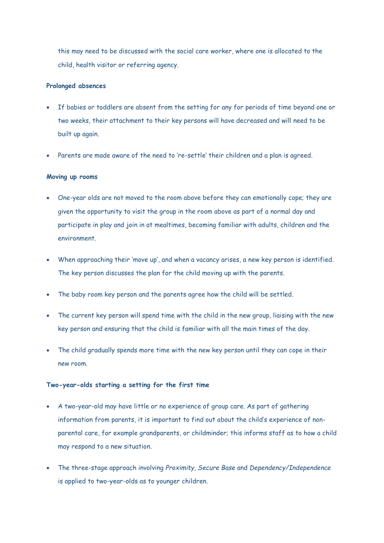this may need to be discussed with the social care worker, where one is allocated to the child, health visitor or referring agency.

# **Prolonged absences**

- If babies or toddlers are absent from the setting for any for periods of time beyond one or two weeks, their attachment to their key persons will have decreased and will need to be built up again.
- Parents are made aware of the need to 're-settle' their children and a plan is agreed.

#### **Moving up rooms**

- One-year olds are not moved to the room above before they can emotionally cope; they are given the opportunity to visit the group in the room above as part of a normal day and participate in play and join in at mealtimes, becoming familiar with adults, children and the environment.
- When approaching their 'move up', and when a vacancy arises, a new key person is identified. The key person discusses the plan for the child moving up with the parents.
- The baby room key person and the parents agree how the child will be settled.
- The current key person will spend time with the child in the new group, liaising with the new key person and ensuring that the child is familiar with all the main times of the day.
- The child gradually spends more time with the new key person until they can cope in their new room.

## **Two-year-olds starting a setting for the first time**

- A two-year-old may have little or no experience of group care. As part of gathering information from parents, it is important to find out about the child's experience of nonparental care, for example grandparents, or childminder; this informs staff as to how a child may respond to a new situation.
- The three-stage approach involving *Proximity, Secure Base* and *Dependency/Independence* is applied to two-year-olds as to younger children.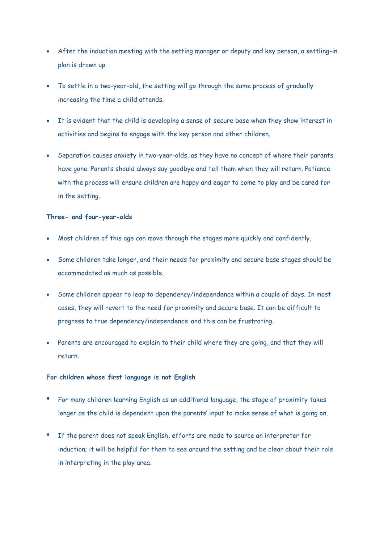- After the induction meeting with the setting manager or deputy and key person, a settling-in plan is drawn up.
- To settle in a two-year-old, the setting will go through the same process of gradually increasing the time a child attends.
- It is evident that the child is developing a sense of secure base when they show interest in activities and begins to engage with the key person and other children.
- Separation causes anxiety in two-year-olds, as they have no concept of where their parents have gone. Parents should always say goodbye and tell them when they will return. Patience with the process will ensure children are happy and eager to come to play and be cared for in the setting.

## **Three- and four-year-olds**

- Most children of this age can move through the stages more quickly and confidently.
- Some children take longer, and their needs for proximity and secure base stages should be accommodated as much as possible.
- Some children appear to leap to dependency/independence within a couple of days. In most cases, they will revert to the need for proximity and secure base. It can be difficult to progress to true dependency/independence and this can be frustrating.
- Parents are encouraged to explain to their child where they are going, and that they will return.

## **For children whose first language is not English**

- For many children learning English as an additional language, the stage of proximity takes longer as the child is dependent upon the parents' input to make sense of what is going on.
- If the parent does not speak English, efforts are made to source an interpreter for induction; it will be helpful for them to see around the setting and be clear about their role in interpreting in the play area.